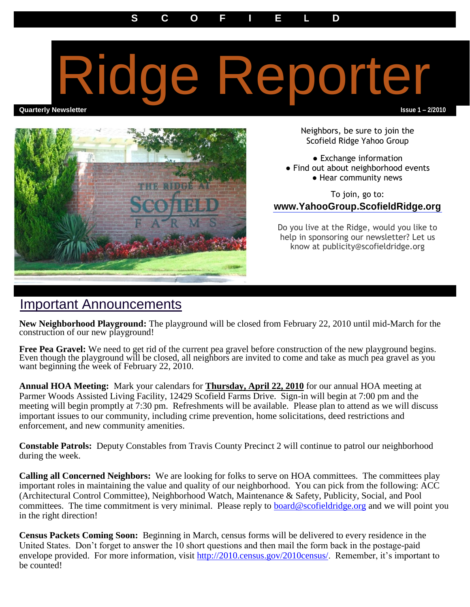## Ridge Reporter

**Quarterly Newsletter Issue 1 – 2/2010**



Neighbors, be sure to join the Scofield Ridge Yahoo Group

● Exchange information

- Find out about neighborhood events
	- Hear community news

To join, go to: **www.YahooGroup.ScofieldRidge.org**

Do you live at the Ridge, would you like to help in sponsoring our newsletter? Let us know at publicity@scofieldridge.org

## Important Announcements

**New Neighborhood Playground:** The playground will be closed from February 22, 2010 until mid-March for the construction of our new playground!

**Free Pea Gravel:** We need to get rid of the current pea gravel before construction of the new playground begins. Even though the playground will be closed, all neighbors are invited to come and take as much pea gravel as you want beginning the week of February 22, 2010.

**Annual HOA Meeting:** Mark your calendars for **Thursday, April 22, 2010** for our annual HOA meeting at Parmer Woods Assisted Living Facility, 12429 Scofield Farms Drive. Sign-in will begin at 7:00 pm and the meeting will begin promptly at 7:30 pm. Refreshments will be available. Please plan to attend as we will discuss important issues to our community, including crime prevention, home solicitations, deed restrictions and enforcement, and new community amenities.

**Constable Patrols:** Deputy Constables from Travis County Precinct 2 will continue to patrol our neighborhood during the week.

**Calling all Concerned Neighbors:** We are looking for folks to serve on HOA committees. The committees play important roles in maintaining the value and quality of our neighborhood. You can pick from the following: ACC (Architectural Control Committee), Neighborhood Watch, Maintenance & Safety, Publicity, Social, and Pool committees. The time commitment is very minimal. Please reply to **board@scofieldridge.org** and we will point you in the right direction!

**Census Packets Coming Soon:** Beginning in March, census forms will be delivered to every residence in the United States. Don't forget to answer the 10 short questions and then mail the form back in the postage-paid envelope provided. For more information, visit [http://2010.census.gov/2010census/.](http://2010.census.gov/2010census/) Remember, it's important to be counted!